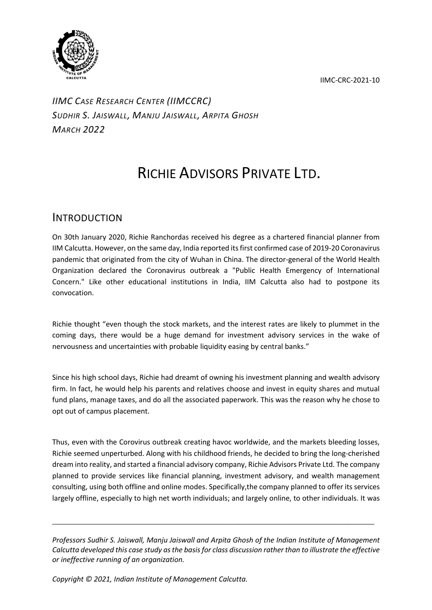IIMC-CRC-2021-10



*IIMC CASE RESEARCH CENTER (IIMCCRC) SUDHIR S. JAISWALL, MANJU JAISWALL, ARPITA GHOSH MARCH 2022*

## RICHIE ADVISORS PRIVATE LTD.

## INTRODUCTION

On 30th January 2020, Richie Ranchordas received his degree as a chartered financial planner from IIM Calcutta. However, on the same day, India reported its first confirmed case of 2019-20 Coronavirus pandemic that originated from the city of Wuhan in China. The director-general of the World Health Organization declared the Coronavirus outbreak a "Public Health Emergency of International Concern." Like other educational institutions in India, IIM Calcutta also had to postpone its convocation.

Richie thought "even though the stock markets, and the interest rates are likely to plummet in the coming days, there would be a huge demand for investment advisory services in the wake of nervousness and uncertainties with probable liquidity easing by central banks."

Since his high school days, Richie had dreamt of owning his investment planning and wealth advisory firm. In fact, he would help his parents and relatives choose and invest in equity shares and mutual fund plans, manage taxes, and do all the associated paperwork. This was the reason why he chose to opt out of campus placement.

Thus, even with the Corovirus outbreak creating havoc worldwide, and the markets bleeding losses, Richie seemed unperturbed. Along with his childhood friends, he decided to bring the long-cherished dream into reality, and started a financial advisory company, Richie Advisors Private Ltd. The company planned to provide services like financial planning, investment advisory, and wealth management consulting, using both offline and online modes. Specifically,the company planned to offer its services largely offline, especially to high net worth individuals; and largely online, to other individuals. It was

*Professors Sudhir S. Jaiswall, Manju Jaiswall and Arpita Ghosh of the Indian Institute of Management Calcutta developed this case study as the basis for class discussion rather than to illustrate the effective or ineffective running of an organization.* 

*\_\_\_\_\_\_\_\_\_\_\_\_\_\_\_\_\_\_\_\_\_\_\_\_\_\_\_\_\_\_\_\_\_\_\_\_\_\_\_\_\_\_\_\_\_\_\_\_\_\_\_\_\_\_\_\_\_\_\_\_\_\_\_\_\_\_\_\_\_\_\_\_\_\_*

*Copyright © 2021, Indian Institute of Management Calcutta.*